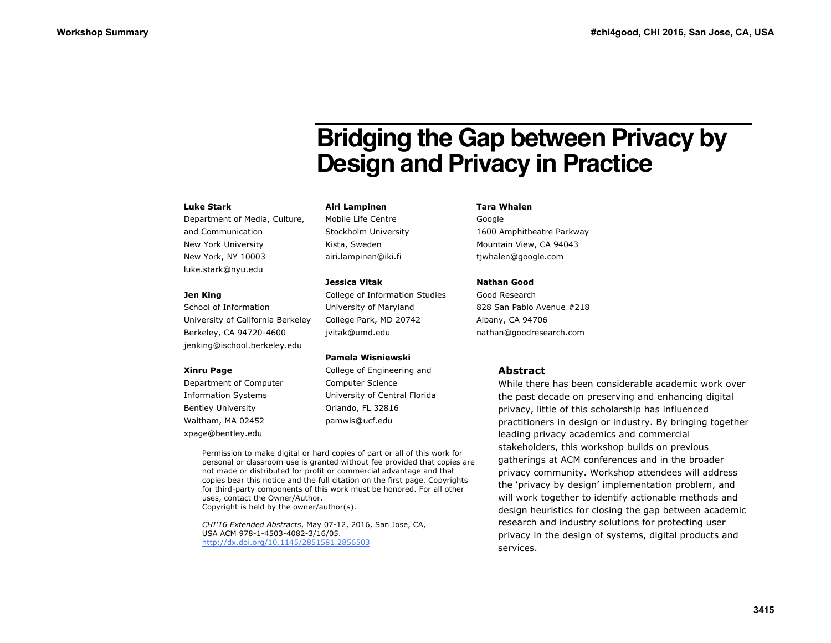# **Bridging the Gap between Privacy by Design and Privacy in Practice**

#### **Luke Stark**

Department of Media, Culture, and Communication New York University New York, NY 10003 luke.stark@nyu.edu

## **Jen King**

School of Information University of California Berkeley Berkeley, CA 94720-4600 jenking@ischool.berkeley.edu

### **Xinru Page**

Department of Computer Information Systems Bentley University Waltham, MA 02452 xpage@bentley.edu

#### **Airi Lampinen**

Mobile Life Centre Stockholm University Kista, Sweden airi.lampinen@iki.fi

### **Jessica Vitak**

College of Information Studies University of Maryland College Park, MD 20742 jvitak@umd.edu

### **Pamela Wisniewski**

College of Engineering and Computer Science University of Central Florida Orlando, FL 32816 pamwis@ucf.edu

Permission to make digital or hard copies of part or all of this work for personal or classroom use is granted without fee provided that copies are not made or distributed for profit or commercial advantage and that copies bear this notice and the full citation on the first page. Copyrights for third-party components of this work must be honored. For all other uses, contact the Owner/Author. Copyright is held by the owner/author(s).

*CHI'16 Extended Abstracts*, May 07-12, 2016, San Jose, CA, USA ACM 978-1-4503-4082-3/16/05. http://dx.doi.org/10.1145/2851581.2856503

### **Tara Whalen**

Google 1600 Amphitheatre Parkway Mountain View, CA 94043 tjwhalen@google.com

## **Nathan Good**

Good Research 828 San Pablo Avenue #218 Albany, CA 94706 nathan@goodresearch.com

# **Abstract**

While there has been considerable academic work over the past decade on preserving and enhancing digital privacy, little of this scholarship has influenced practitioners in design or industry. By bringing together leading privacy academics and commercial stakeholders, this workshop builds on previous gatherings at ACM conferences and in the broader privacy community. Workshop attendees will address the 'privacy by design' implementation problem, and will work together to identify actionable methods and design heuristics for closing the gap between academic research and industry solutions for protecting user privacy in the design of systems, digital products and services.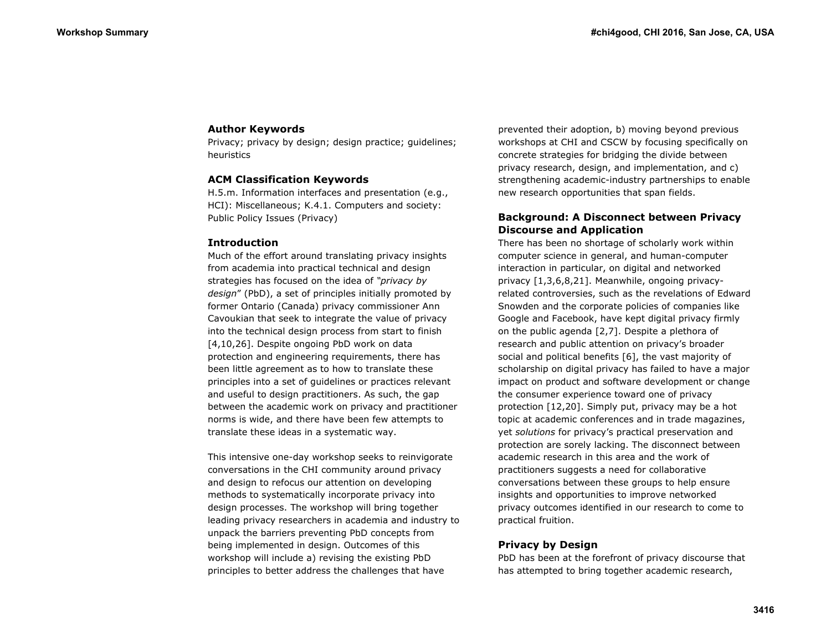# **Author Keywords**

Privacy; privacy by design; design practice; guidelines; heuristics

## **ACM Classification Keywords**

H.5.m. Information interfaces and presentation (e.g., HCI): Miscellaneous; K.4.1. Computers and society: Public Policy Issues (Privacy)

## **Introduction**

Much of the effort around translating privacy insights from academia into practical technical and design strategies has focused on the idea of *"privacy by design*" (PbD), a set of principles initially promoted by former Ontario (Canada) privacy commissioner Ann Cavoukian that seek to integrate the value of privacy into the technical design process from start to finish [4,10,26]. Despite ongoing PbD work on data protection and engineering requirements, there has been little agreement as to how to translate these principles into a set of guidelines or practices relevant and useful to design practitioners. As such, the gap between the academic work on privacy and practitioner norms is wide, and there have been few attempts to translate these ideas in a systematic way.

This intensive one-day workshop seeks to reinvigorate conversations in the CHI community around privacy and design to refocus our attention on developing methods to systematically incorporate privacy into design processes. The workshop will bring together leading privacy researchers in academia and industry to unpack the barriers preventing PbD concepts from being implemented in design. Outcomes of this workshop will include a) revising the existing PbD principles to better address the challenges that have

prevented their adoption, b) moving beyond previous workshops at CHI and CSCW by focusing specifically on concrete strategies for bridging the divide between privacy research, design, and implementation, and c) strengthening academic-industry partnerships to enable new research opportunities that span fields.

# **Background: A Disconnect between Privacy Discourse and Application**

There has been no shortage of scholarly work within computer science in general, and human-computer interaction in particular, on digital and networked privacy [1,3,6,8,21]. Meanwhile, ongoing privacyrelated controversies, such as the revelations of Edward Snowden and the corporate policies of companies like Google and Facebook, have kept digital privacy firmly on the public agenda [2,7]. Despite a plethora of research and public attention on privacy's broader social and political benefits [6], the vast majority of scholarship on digital privacy has failed to have a major impact on product and software development or change the consumer experience toward one of privacy protection [12,20]. Simply put, privacy may be a hot topic at academic conferences and in trade magazines, yet *solutions* for privacy's practical preservation and protection are sorely lacking. The disconnect between academic research in this area and the work of practitioners suggests a need for collaborative conversations between these groups to help ensure insights and opportunities to improve networked privacy outcomes identified in our research to come to practical fruition.

# **Privacy by Design**

PbD has been at the forefront of privacy discourse that has attempted to bring together academic research,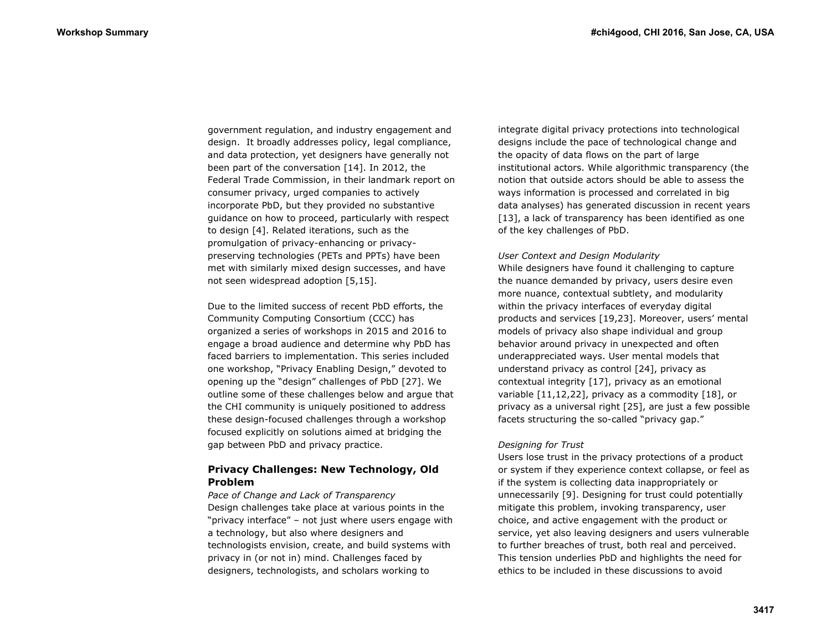government regulation, and industry engagement and design. It broadly addresses policy, legal compliance, and data protection, yet designers have generally not been part of the conversation [14]. In 2012, the Federal Trade Commission, in their landmark report on consumer privacy, urged companies to actively incorporate PbD, but they provided no substantive guidance on how to proceed, particularly with respect to design [4]. Related iterations, such as the promulgation of privacy-enhancing or privacypreserving technologies (PETs and PPTs) have been met with similarly mixed design successes, and have not seen widespread adoption [5,15].

Due to the limited success of recent PbD efforts, the Community Computing Consortium (CCC) has organized a series of workshops in 2015 and 2016 to engage a broad audience and determine why PbD has faced barriers to implementation. This series included one workshop, "Privacy Enabling Design," devoted to opening up the "design" challenges of PbD [27]. We outline some of these challenges below and argue that the CHI community is uniquely positioned to address these design-focused challenges through a workshop focused explicitly on solutions aimed at bridging the gap between PbD and privacy practice.

# **Privacy Challenges: New Technology, Old Problem**

*Pace of Change and Lack of Transparency* Design challenges take place at various points in the "privacy interface" – not just where users engage with a technology, but also where designers and technologists envision, create, and build systems with privacy in (or not in) mind. Challenges faced by designers, technologists, and scholars working to

integrate digital privacy protections into technological designs include the pace of technological change and the opacity of data flows on the part of large institutional actors. While algorithmic transparency (the notion that outside actors should be able to assess the ways information is processed and correlated in big data analyses) has generated discussion in recent years [13], a lack of transparency has been identified as one of the key challenges of PbD.

#### *User Context and Design Modularity*

While designers have found it challenging to capture the nuance demanded by privacy, users desire even more nuance, contextual subtlety, and modularity within the privacy interfaces of everyday digital products and services [19,23]. Moreover, users' mental models of privacy also shape individual and group behavior around privacy in unexpected and often underappreciated ways. User mental models that understand privacy as control [24], privacy as contextual integrity [17], privacy as an emotional variable [11,12,22], privacy as a commodity [18], or privacy as a universal right [25], are just a few possible facets structuring the so-called "privacy gap."

### *Designing for Trust*

Users lose trust in the privacy protections of a product or system if they experience context collapse, or feel as if the system is collecting data inappropriately or unnecessarily [9]. Designing for trust could potentially mitigate this problem, invoking transparency, user choice, and active engagement with the product or service, yet also leaving designers and users vulnerable to further breaches of trust, both real and perceived. This tension underlies PbD and highlights the need for ethics to be included in these discussions to avoid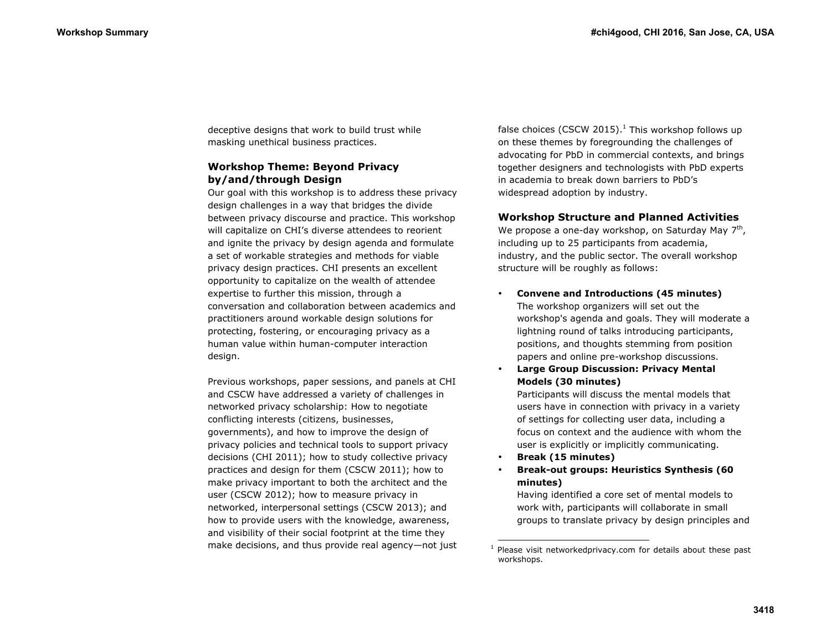deceptive designs that work to build trust while masking unethical business practices.

# **Workshop Theme: Beyond Privacy by/and/through Design**

Our goal with this workshop is to address these privacy design challenges in a way that bridges the divide between privacy discourse and practice. This workshop will capitalize on CHI's diverse attendees to reorient and ignite the privacy by design agenda and formulate a set of workable strategies and methods for viable privacy design practices. CHI presents an excellent opportunity to capitalize on the wealth of attendee expertise to further this mission, through a conversation and collaboration between academics and practitioners around workable design solutions for protecting, fostering, or encouraging privacy as a human value within human-computer interaction design.

Previous workshops, paper sessions, and panels at CHI and CSCW have addressed a variety of challenges in networked privacy scholarship: How to negotiate conflicting interests (citizens, businesses, governments), and how to improve the design of privacy policies and technical tools to support privacy decisions (CHI 2011); how to study collective privacy practices and design for them (CSCW 2011); how to make privacy important to both the architect and the user (CSCW 2012); how to measure privacy in networked, interpersonal settings (CSCW 2013); and how to provide users with the knowledge, awareness, and visibility of their social footprint at the time they make decisions, and thus provide real agency—not just

false choices (CSCW 2015).<sup>1</sup> This workshop follows up on these themes by foregrounding the challenges of advocating for PbD in commercial contexts, and brings together designers and technologists with PbD experts in academia to break down barriers to PbD's widespread adoption by industry.

## **Workshop Structure and Planned Activities**

We propose a one-day workshop, on Saturday May  $7<sup>th</sup>$ , including up to 25 participants from academia, industry, and the public sector. The overall workshop structure will be roughly as follows:

- **Convene and Introductions (45 minutes)** The workshop organizers will set out the workshop's agenda and goals. They will moderate a lightning round of talks introducing participants, positions, and thoughts stemming from position papers and online pre-workshop discussions.
- **Large Group Discussion: Privacy Mental Models (30 minutes)**

Participants will discuss the mental models that users have in connection with privacy in a variety of settings for collecting user data, including a focus on context and the audience with whom the user is explicitly or implicitly communicating.

- **Break (15 minutes)**
- **Break-out groups: Heuristics Synthesis (60 minutes)**

Having identified a core set of mental models to work with, participants will collaborate in small groups to translate privacy by design principles and

 $1$  Please visit networkedprivacy.com for details about these past workshops.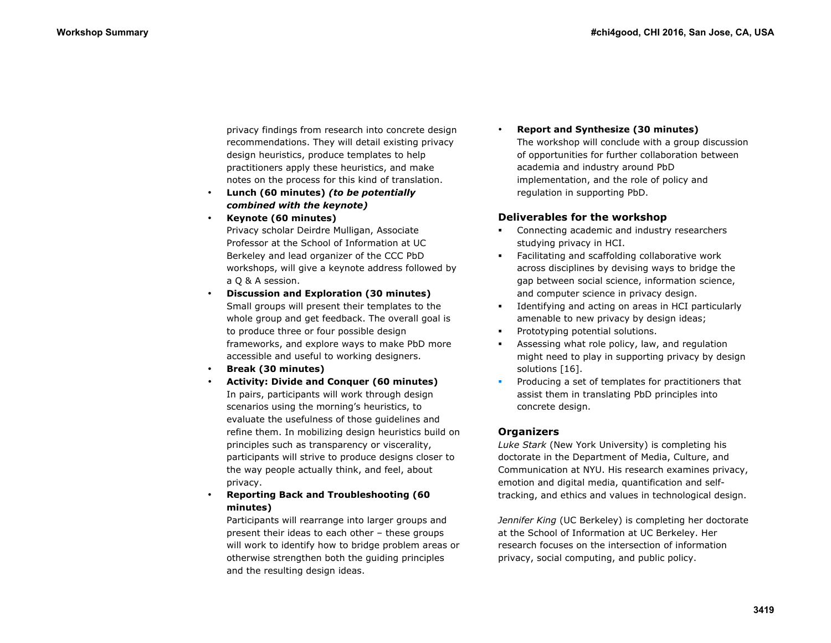privacy findings from research into concrete design recommendations. They will detail existing privacy design heuristics, produce templates to help practitioners apply these heuristics, and make notes on the process for this kind of translation.

- **Lunch (60 minutes)** *(to be potentially combined with the keynote)*
- **Keynote (60 minutes)**

Privacy scholar Deirdre Mulligan, Associate Professor at the School of Information at UC Berkeley and lead organizer of the CCC PbD workshops, will give a keynote address followed by a Q & A session.

- **Discussion and Exploration (30 minutes)** Small groups will present their templates to the whole group and get feedback. The overall goal is to produce three or four possible design frameworks, and explore ways to make PbD more accessible and useful to working designers.
- **Break (30 minutes)**
- **Activity: Divide and Conquer (60 minutes)** In pairs, participants will work through design scenarios using the morning's heuristics, to evaluate the usefulness of those guidelines and refine them. In mobilizing design heuristics build on principles such as transparency or viscerality, participants will strive to produce designs closer to the way people actually think, and feel, about privacy.
- **Reporting Back and Troubleshooting (60 minutes)**

Participants will rearrange into larger groups and present their ideas to each other – these groups will work to identify how to bridge problem areas or otherwise strengthen both the guiding principles and the resulting design ideas.

• **Report and Synthesize (30 minutes)** The workshop will conclude with a group discussion of opportunities for further collaboration between academia and industry around PbD implementation, and the role of policy and regulation in supporting PbD.

# **Deliverables for the workshop**

- **EXECONDERGIVE CONNECTION CONNECTION** Connecting academic and industry researchers studying privacy in HCI.
- ! Facilitating and scaffolding collaborative work across disciplines by devising ways to bridge the gap between social science, information science, and computer science in privacy design.
- Identifying and acting on areas in HCI particularly amenable to new privacy by design ideas;
- ! Prototyping potential solutions.
- Assessing what role policy, law, and regulation might need to play in supporting privacy by design solutions [16].
- ! Producing a set of templates for practitioners that assist them in translating PbD principles into concrete design.

# **Organizers**

*Luke Stark* (New York University) is completing his doctorate in the Department of Media, Culture, and Communication at NYU. His research examines privacy, emotion and digital media, quantification and selftracking, and ethics and values in technological design.

*Jennifer King* (UC Berkeley) is completing her doctorate at the School of Information at UC Berkeley. Her research focuses on the intersection of information privacy, social computing, and public policy.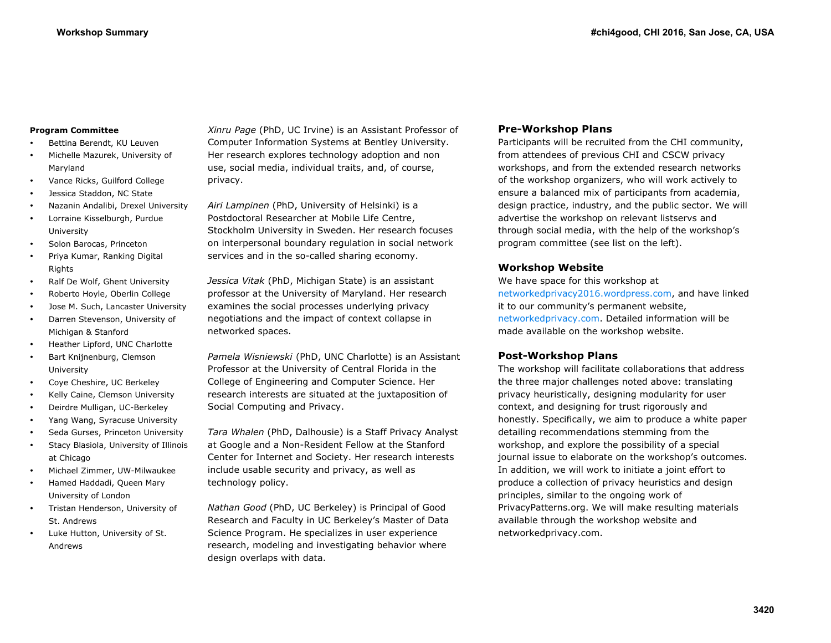#### **Program Committee**

- Bettina Berendt, KU Leuven
- Michelle Mazurek, University of Maryland
- Vance Ricks, Guilford College
- Jessica Staddon, NC State
- Nazanin Andalibi, Drexel University
- Lorraine Kisselburgh, Purdue University
- Solon Barocas, Princeton
- Priya Kumar, Ranking Digital Rights
- Ralf De Wolf, Ghent University
- Roberto Hoyle, Oberlin College
- Jose M. Such, Lancaster University
- Darren Stevenson, University of Michigan & Stanford
- Heather Lipford, UNC Charlotte
- Bart Knijnenburg, Clemson University
- Coye Cheshire, UC Berkeley
- Kelly Caine, Clemson University
- Deirdre Mulligan, UC-Berkeley
- Yang Wang, Syracuse University
- Seda Gurses, Princeton University
- Stacy Blasiola, University of Illinois at Chicago
- Michael Zimmer, UW-Milwaukee
- Hamed Haddadi, Queen Mary University of London
- Tristan Henderson, University of St. Andrews
- Luke Hutton, University of St. Andrews

*Xinru Page* (PhD, UC Irvine) is an Assistant Professor of Computer Information Systems at Bentley University. Her research explores technology adoption and non use, social media, individual traits, and, of course, privacy.

*Airi Lampinen* (PhD, University of Helsinki) is a Postdoctoral Researcher at Mobile Life Centre, Stockholm University in Sweden. Her research focuses on interpersonal boundary regulation in social network services and in the so-called sharing economy.

*Jessica Vitak* (PhD, Michigan State) is an assistant professor at the University of Maryland. Her research examines the social processes underlying privacy negotiations and the impact of context collapse in networked spaces.

*Pamela Wisniewski* (PhD, UNC Charlotte) is an Assistant Professor at the University of Central Florida in the College of Engineering and Computer Science. Her research interests are situated at the juxtaposition of Social Computing and Privacy.

*Tara Whalen* (PhD, Dalhousie) is a Staff Privacy Analyst at Google and a Non-Resident Fellow at the Stanford Center for Internet and Society. Her research interests include usable security and privacy, as well as technology policy.

*Nathan Good* (PhD, UC Berkeley) is Principal of Good Research and Faculty in UC Berkeley's Master of Data Science Program. He specializes in user experience research, modeling and investigating behavior where design overlaps with data.

## **Pre-Workshop Plans**

Participants will be recruited from the CHI community, from attendees of previous CHI and CSCW privacy workshops, and from the extended research networks of the workshop organizers, who will work actively to ensure a balanced mix of participants from academia, design practice, industry, and the public sector. We will advertise the workshop on relevant listservs and through social media, with the help of the workshop's program committee (see list on the left).

## **Workshop Website**

We have space for this workshop at networkedprivacy2016.wordpress.com, and have linked it to our community's permanent website, networkedprivacy.com. Detailed information will be made available on the workshop website.

## **Post-Workshop Plans**

The workshop will facilitate collaborations that address the three major challenges noted above: translating privacy heuristically, designing modularity for user context, and designing for trust rigorously and honestly. Specifically, we aim to produce a white paper detailing recommendations stemming from the workshop, and explore the possibility of a special journal issue to elaborate on the workshop's outcomes. In addition, we will work to initiate a joint effort to produce a collection of privacy heuristics and design principles, similar to the ongoing work of PrivacyPatterns.org. We will make resulting materials available through the workshop website and networkedprivacy.com.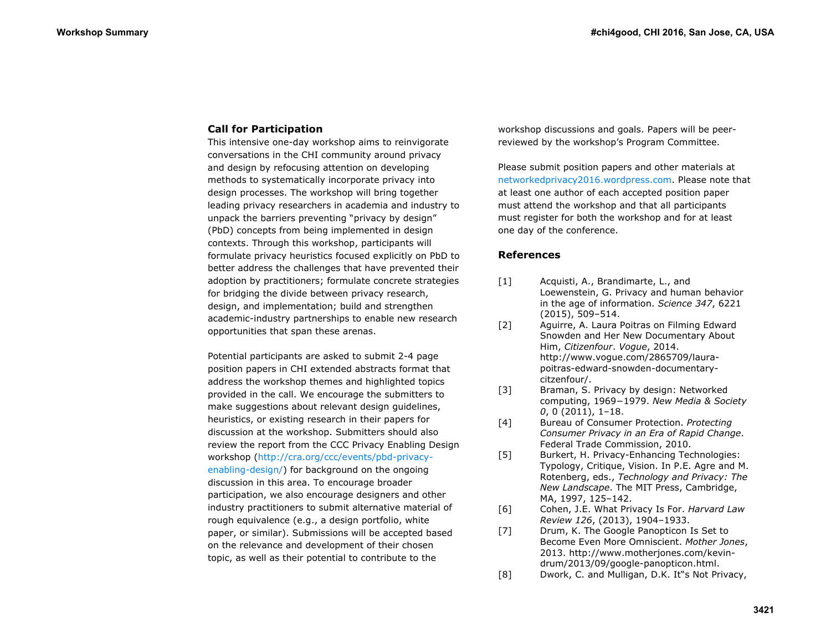# **Call for Participation**

This intensive one-day workshop aims to reinvigorate conversations in the CHI community around privacy and design by refocusing attention on developing methods to systematically incorporate privacy into design processes. The workshop will bring together leading privacy researchers in academia and industry to unpack the barriers preventing "privacy by design" (PbD) concepts from being implemented in design contexts. Through this workshop, participants will formulate privacy heuristics focused explicitly on PbD to better address the challenges that have prevented their adoption by practitioners; formulate concrete strategies for bridging the divide between privacy research, design, and implementation; build and strengthen academic-industry partnerships to enable new research opportunities that span these arenas.

Potential participants are asked to submit 2-4 page position papers in CHI extended abstracts format that address the workshop themes and highlighted topics provided in the call. We encourage the submitters to make suggestions about relevant design guidelines, heuristics, or existing research in their papers for discussion at the workshop. Submitters should also review the report from the CCC Privacy Enabling Design workshop (http://cra.org/ccc/events/pbd-privacyenabling-design/) for background on the ongoing discussion in this area. To encourage broader participation, we also encourage designers and other industry practitioners to submit alternative material of rough equivalence (e.g., a design portfolio, white paper, or similar). Submissions will be accepted based on the relevance and development of their chosen topic, as well as their potential to contribute to the

workshop discussions and goals. Papers will be peerreviewed by the workshop's Program Committee.

Please submit position papers and other materials at networkedprivacy2016.wordpress.com. Please note that at least one author of each accepted position paper must attend the workshop and that all participants must register for both the workshop and for at least one day of the conference.

## **References**

- [1] Acquisti, A., Brandimarte, L., and Loewenstein, G. Privacy and human behavior in the age of information. *Science 347*, 6221 (2015), 509–514.
- [2] Aguirre, A. Laura Poitras on Filming Edward Snowden and Her New Documentary About Him, *Citizenfour*. *Vogue*, 2014. http://www.vogue.com/2865709/laurapoitras-edward-snowden-documentarycitzenfour/.
- [3] Braman, S. Privacy by design: Networked computing, 1969−1979. *New Media & Society 0*, 0 (2011), 1–18.
- [4] Bureau of Consumer Protection. *Protecting Consumer Privacy in an Era of Rapid Change*. Federal Trade Commission, 2010.
- [5] Burkert, H. Privacy-Enhancing Technologies: Typology, Critique, Vision. In P.E. Agre and M. Rotenberg, eds., *Technology and Privacy: The New Landscape*. The MIT Press, Cambridge, MA, 1997, 125–142.
- [6] Cohen, J.E. What Privacy Is For. *Harvard Law Review 126*, (2013), 1904–1933.
- [7] Drum, K. The Google Panopticon Is Set to Become Even More Omniscient. *Mother Jones*, 2013. http://www.motherjones.com/kevindrum/2013/09/google-panopticon.html.
- [8] Dwork, C. and Mulligan, D.K. It"s Not Privacy,